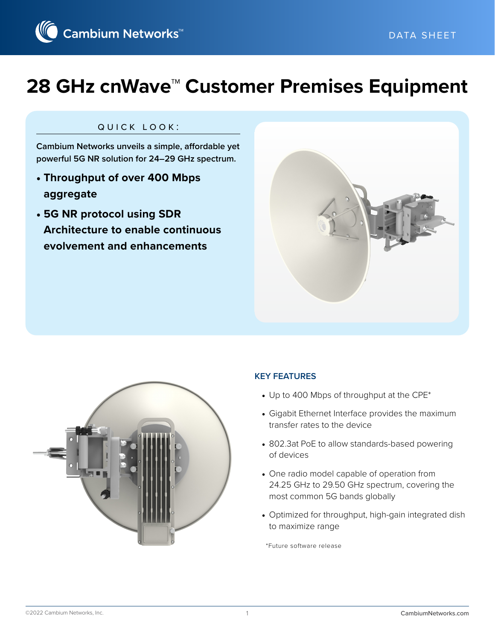

# **28 GHz cnWave™ Customer Premises Equipment**

#### quick look:

**Cambium Networks unveils a simple, affordable yet powerful 5G NR solution for 24–29 GHz spectrum.**

- **Throughput of over 400 Mbps aggregate**
- **5G NR protocol using SDR Architecture to enable continuous evolvement and enhancements**





#### **KEY FEATURES**

- Up to 400 Mbps of throughput at the CPE\*
- Gigabit Ethernet Interface provides the maximum transfer rates to the device
- 802.3at PoE to allow standards-based powering of devices
- One radio model capable of operation from 24.25 GHz to 29.50 GHz spectrum, covering the most common 5G bands globally
- Optimized for throughput, high-gain integrated dish to maximize range

\*Future software release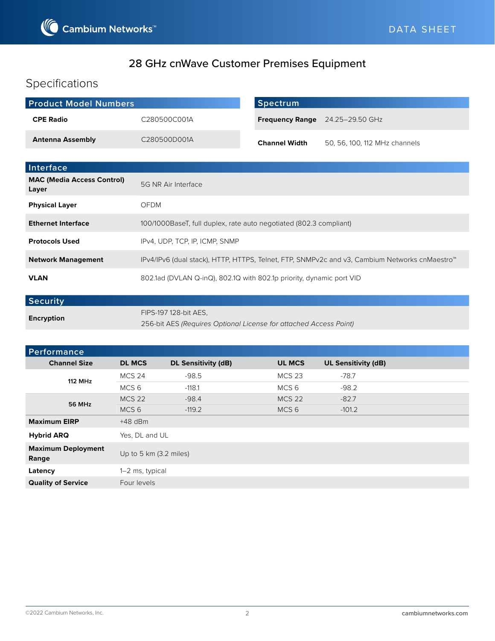

# 28 GHz cnWave Customer Premises Equipment

# Specifications

| <b>Product Model Numbers</b>               |                                                                                               | <b>Spectrum</b>        |                               |
|--------------------------------------------|-----------------------------------------------------------------------------------------------|------------------------|-------------------------------|
| <b>CPE Radio</b>                           | C280500C001A                                                                                  | <b>Frequency Range</b> | 24.25-29.50 GHz               |
| <b>Antenna Assembly</b>                    | C280500D001A                                                                                  | <b>Channel Width</b>   | 50, 56, 100, 112 MHz channels |
|                                            |                                                                                               |                        |                               |
| Interface                                  |                                                                                               |                        |                               |
| <b>MAC (Media Access Control)</b><br>Layer | 5G NR Air Interface                                                                           |                        |                               |
| <b>Physical Layer</b>                      | OFDM                                                                                          |                        |                               |
| <b>Ethernet Interface</b>                  | 100/1000BaseT, full duplex, rate auto negotiated (802.3 compliant)                            |                        |                               |
| <b>Protocols Used</b>                      | IPv4, UDP, TCP, IP, ICMP, SNMP                                                                |                        |                               |
| <b>Network Management</b>                  | IPv4/IPv6 (dual stack), HTTP, HTTPS, Telnet, FTP, SNMPv2c and v3, Cambium Networks cnMaestro™ |                        |                               |
| <b>VLAN</b>                                | 802.1ad (DVLAN Q-inQ), 802.1Q with 802.1p priority, dynamic port VID                          |                        |                               |

| <b>Security</b> |                                                                   |
|-----------------|-------------------------------------------------------------------|
| Encryption      | FIPS-197 128-bit AES.                                             |
|                 | 256-bit AES (Requires Optional License for attached Access Point) |

| Performance                        |                        |                            |                  |                            |  |
|------------------------------------|------------------------|----------------------------|------------------|----------------------------|--|
| <b>Channel Size</b>                | <b>DL MCS</b>          | <b>DL Sensitivity (dB)</b> | <b>UL MCS</b>    | <b>UL Sensitivity (dB)</b> |  |
| <b>112 MHz</b>                     | <b>MCS 24</b>          | $-98.5$                    | <b>MCS 23</b>    | $-78.7$                    |  |
|                                    | MCS 6                  | $-118.1$                   | MCS <sub>6</sub> | $-98.2$                    |  |
| 56 MHz                             | <b>MCS 22</b>          | $-98.4$                    | <b>MCS 22</b>    | $-82.7$                    |  |
|                                    | MCS <sub>6</sub>       | $-119.2$                   | MCS <sub>6</sub> | $-101.2$                   |  |
| <b>Maximum EIRP</b>                | $+48$ dBm              |                            |                  |                            |  |
| <b>Hybrid ARQ</b>                  | Yes, DL and UL         |                            |                  |                            |  |
| <b>Maximum Deployment</b><br>Range | Up to 5 km (3.2 miles) |                            |                  |                            |  |
| Latency                            | 1-2 ms, typical        |                            |                  |                            |  |
| <b>Quality of Service</b>          | Four levels            |                            |                  |                            |  |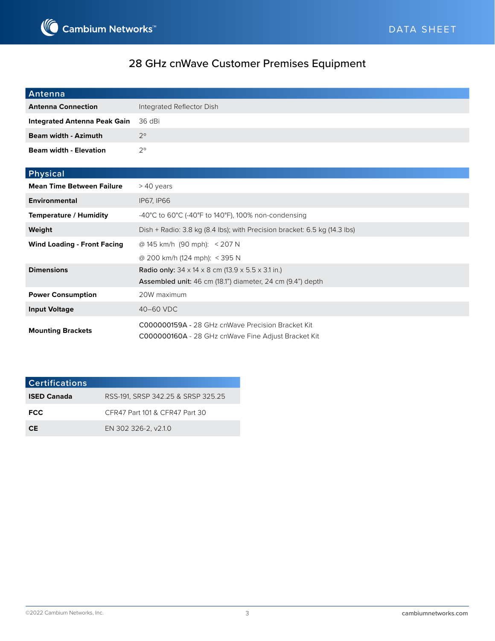

# 28 GHz cnWave Customer Premises Equipment

| <b>Antenna</b>                      |                                                                                                                                                  |
|-------------------------------------|--------------------------------------------------------------------------------------------------------------------------------------------------|
| <b>Antenna Connection</b>           | Integrated Reflector Dish                                                                                                                        |
| <b>Integrated Antenna Peak Gain</b> | 36 dBi                                                                                                                                           |
| <b>Beam width - Azimuth</b>         | $2^{\circ}$                                                                                                                                      |
| <b>Beam width - Elevation</b>       | $2^{\circ}$                                                                                                                                      |
| Physical                            |                                                                                                                                                  |
| <b>Mean Time Between Failure</b>    | > 40 years                                                                                                                                       |
| <b>Environmental</b>                | <b>IP67, IP66</b>                                                                                                                                |
| <b>Temperature / Humidity</b>       | -40°C to 60°C (-40°F to 140°F), 100% non-condensing                                                                                              |
| Weight                              | Dish + Radio: 3.8 kg (8.4 lbs); with Precision bracket: 6.5 kg (14.3 lbs)                                                                        |
| <b>Wind Loading - Front Facing</b>  | @ 145 km/h (90 mph): < 207 N                                                                                                                     |
|                                     | @ 200 km/h (124 mph): < 395 N                                                                                                                    |
| <b>Dimensions</b>                   | <b>Radio only:</b> $34 \times 14 \times 8$ cm (13.9 $\times$ 5.5 $\times$ 3.1 in.)<br>Assembled unit: 46 cm (18.1") diameter, 24 cm (9.4") depth |
| <b>Power Consumption</b>            | 20W maximum                                                                                                                                      |
| <b>Input Voltage</b>                | 40-60 VDC                                                                                                                                        |
| <b>Mounting Brackets</b>            | C000000159A - 28 GHz cnWave Precision Bracket Kit                                                                                                |

| . | C000000160A - 28 GHz cnWave Fine Adjust Bracket Kit |  |  |  |
|---|-----------------------------------------------------|--|--|--|
|---|-----------------------------------------------------|--|--|--|

| <b>Certifications</b> |                                    |
|-----------------------|------------------------------------|
| <b>ISED Canada</b>    | RSS-191. SRSP 342.25 & SRSP 325.25 |
| <b>FCC</b>            | CFR47 Part 101 & CFR47 Part 30     |
| CF.                   | EN 302 326-2, v2.1.0               |